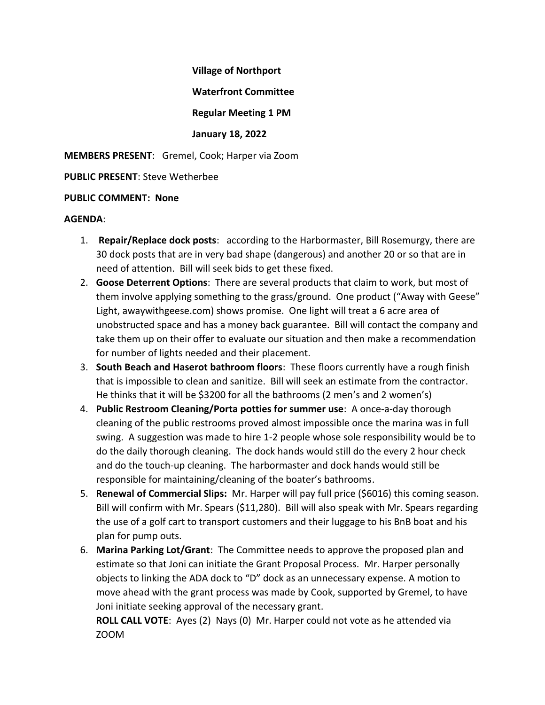**Village of Northport**

**Waterfront Committee**

**Regular Meeting 1 PM**

## **January 18, 2022**

**MEMBERS PRESENT**: Gremel, Cook; Harper via Zoom

**PUBLIC PRESENT**: Steve Wetherbee

## **PUBLIC COMMENT: None**

## **AGENDA**:

- 1. **Repair/Replace dock posts**: according to the Harbormaster, Bill Rosemurgy, there are 30 dock posts that are in very bad shape (dangerous) and another 20 or so that are in need of attention. Bill will seek bids to get these fixed.
- 2. **Goose Deterrent Options**: There are several products that claim to work, but most of them involve applying something to the grass/ground. One product ("Away with Geese" Light, awaywithgeese.com) shows promise. One light will treat a 6 acre area of unobstructed space and has a money back guarantee. Bill will contact the company and take them up on their offer to evaluate our situation and then make a recommendation for number of lights needed and their placement.
- 3. **South Beach and Haserot bathroom floors**: These floors currently have a rough finish that is impossible to clean and sanitize. Bill will seek an estimate from the contractor. He thinks that it will be \$3200 for all the bathrooms (2 men's and 2 women's)
- 4. **Public Restroom Cleaning/Porta potties for summer use**: A once-a-day thorough cleaning of the public restrooms proved almost impossible once the marina was in full swing. A suggestion was made to hire 1-2 people whose sole responsibility would be to do the daily thorough cleaning. The dock hands would still do the every 2 hour check and do the touch-up cleaning. The harbormaster and dock hands would still be responsible for maintaining/cleaning of the boater's bathrooms.
- 5. **Renewal of Commercial Slips:** Mr. Harper will pay full price (\$6016) this coming season. Bill will confirm with Mr. Spears (\$11,280). Bill will also speak with Mr. Spears regarding the use of a golf cart to transport customers and their luggage to his BnB boat and his plan for pump outs.
- 6. **Marina Parking Lot/Grant**: The Committee needs to approve the proposed plan and estimate so that Joni can initiate the Grant Proposal Process. Mr. Harper personally objects to linking the ADA dock to "D" dock as an unnecessary expense. A motion to move ahead with the grant process was made by Cook, supported by Gremel, to have Joni initiate seeking approval of the necessary grant.

**ROLL CALL VOTE**: Ayes (2) Nays (0) Mr. Harper could not vote as he attended via ZOOM